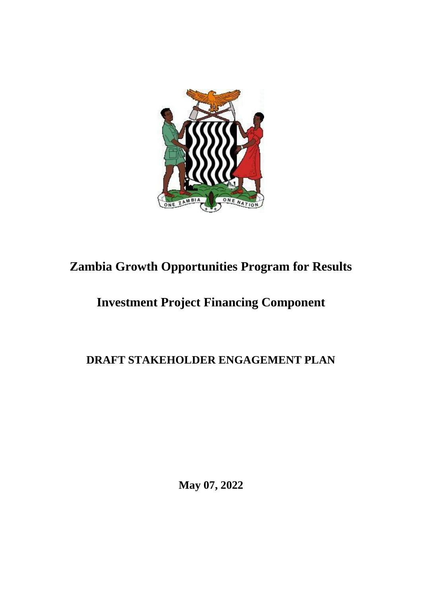

# **Zambia Growth Opportunities Program for Results**

# **Investment Project Financing Component**

# **DRAFT STAKEHOLDER ENGAGEMENT PLAN**

**May 07, 2022**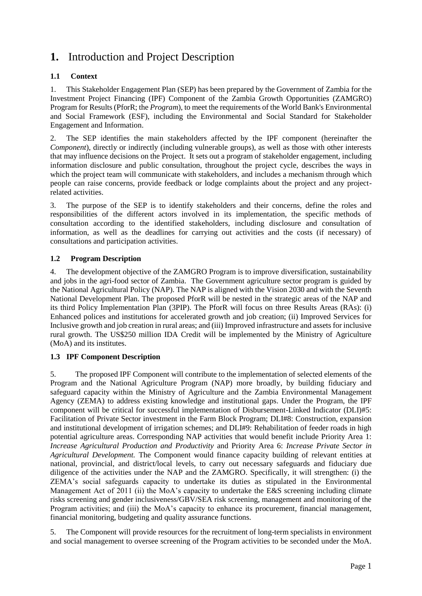# **1.** Introduction and Project Description

# **1.1 Context**

1. This Stakeholder Engagement Plan (SEP) has been prepared by the Government of Zambia for the Investment Project Financing (IPF) Component of the Zambia Growth Opportunities (ZAMGRO) Program for Results (PforR; the *Program*), to meet the requirements of the World Bank's Environmental and Social Framework (ESF), including the Environmental and Social Standard for Stakeholder Engagement and Information.

2. The SEP identifies the main stakeholders affected by the IPF component (hereinafter the *Component*), directly or indirectly (including vulnerable groups), as well as those with other interests that may influence decisions on the Project. It sets out a program of stakeholder engagement, including information disclosure and public consultation, throughout the project cycle, describes the ways in which the project team will communicate with stakeholders, and includes a mechanism through which people can raise concerns, provide feedback or lodge complaints about the project and any projectrelated activities.

3. The purpose of the SEP is to identify stakeholders and their concerns, define the roles and responsibilities of the different actors involved in its implementation, the specific methods of consultation according to the identified stakeholders, including disclosure and consultation of information, as well as the deadlines for carrying out activities and the costs (if necessary) of consultations and participation activities.

# **1.2 Program Description**

4. The development objective of the ZAMGRO Program is to improve diversification, sustainability and jobs in the agri-food sector of Zambia. The Government agriculture sector program is guided by the National Agricultural Policy (NAP). The NAP is aligned with the Vision 2030 and with the Seventh National Development Plan. The proposed PforR will be nested in the strategic areas of the NAP and its third Policy Implementation Plan (3PIP). The PforR will focus on three Results Areas (RAs): (i) Enhanced polices and institutions for accelerated growth and job creation; (ii) Improved Services for Inclusive growth and job creation in rural areas; and (iii) Improved infrastructure and assets for inclusive rural growth. The US\$250 million IDA Credit will be implemented by the Ministry of Agriculture (MoA) and its institutes.

# **1.3 IPF Component Description**

5. The proposed IPF Component will contribute to the implementation of selected elements of the Program and the National Agriculture Program (NAP) more broadly, by building fiduciary and safeguard capacity within the Ministry of Agriculture and the Zambia Environmental Management Agency (ZEMA) to address existing knowledge and institutional gaps. Under the Program, the IPF component will be critical for successful implementation of Disbursement-Linked Indicator (DLI)#5: Facilitation of Private Sector investment in the Farm Block Program; DLI#8: Construction, expansion and institutional development of irrigation schemes; and DLI#9: Rehabilitation of feeder roads in high potential agriculture areas. Corresponding NAP activities that would benefit include Priority Area 1: *Increase Agricultural Production and Productivity* and Priority Area 6: *Increase Private Sector in Agricultural Development.* The Component would finance capacity building of relevant entities at national, provincial, and district/local levels, to carry out necessary safeguards and fiduciary due diligence of the activities under the NAP and the ZAMGRO. Specifically, it will strengthen: (i) the ZEMA's social safeguards capacity to undertake its duties as stipulated in the Environmental Management Act of 2011 (ii) the MoA's capacity to undertake the E&S screening including climate risks screening and gender inclusiveness/GBV/SEA risk screening, management and monitoring of the Program activities; and (iii) the MoA's capacity to enhance its procurement, financial management, financial monitoring, budgeting and quality assurance functions.

5. The Component will provide resources for the recruitment of long-term specialists in environment and social management to oversee screening of the Program activities to be seconded under the MoA.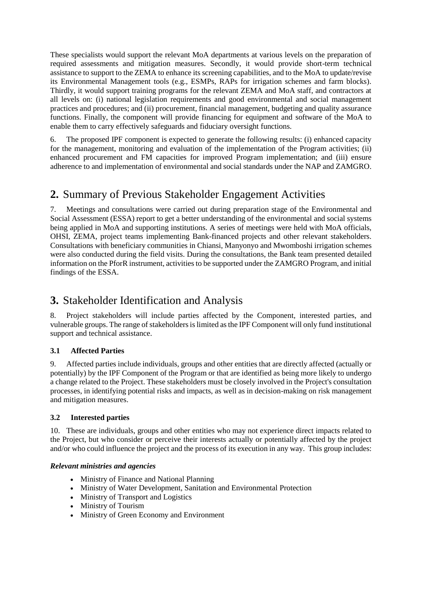These specialists would support the relevant MoA departments at various levels on the preparation of required assessments and mitigation measures. Secondly, it would provide short-term technical assistance to support to the ZEMA to enhance its screening capabilities, and to the MoA to update/revise its Environmental Management tools (e.g., ESMPs, RAPs for irrigation schemes and farm blocks). Thirdly, it would support training programs for the relevant ZEMA and MoA staff, and contractors at all levels on: (i) national legislation requirements and good environmental and social management practices and procedures; and (ii) procurement, financial management, budgeting and quality assurance functions. Finally, the component will provide financing for equipment and software of the MoA to enable them to carry effectively safeguards and fiduciary oversight functions.

6. The proposed IPF component is expected to generate the following results: (i) enhanced capacity for the management, monitoring and evaluation of the implementation of the Program activities; (ii) enhanced procurement and FM capacities for improved Program implementation; and (iii) ensure adherence to and implementation of environmental and social standards under the NAP and ZAMGRO.

# **2.** Summary of Previous Stakeholder Engagement Activities

7. Meetings and consultations were carried out during preparation stage of the Environmental and Social Assessment (ESSA) report to get a better understanding of the environmental and social systems being applied in MoA and supporting institutions. A series of meetings were held with MoA officials, OHSI, ZEMA, project teams implementing Bank-financed projects and other relevant stakeholders. Consultations with beneficiary communities in Chiansi, Manyonyo and Mwomboshi irrigation schemes were also conducted during the field visits. During the consultations, the Bank team presented detailed information on the PforR instrument, activities to be supported under the ZAMGRO Program, and initial findings of the ESSA.

# **3.** Stakeholder Identification and Analysis

8. Project stakeholders will include parties affected by the Component, interested parties, and vulnerable groups. The range of stakeholders is limited as the IPF Component will only fund institutional support and technical assistance.

# **3.1 Affected Parties**

9. Affected parties include individuals, groups and other entities that are directly affected (actually or potentially) by the IPF Component of the Program or that are identified as being more likely to undergo a change related to the Project. These stakeholders must be closely involved in the Project's consultation processes, in identifying potential risks and impacts, as well as in decision-making on risk management and mitigation measures.

### **3.2 Interested parties**

10. These are individuals, groups and other entities who may not experience direct impacts related to the Project, but who consider or perceive their interests actually or potentially affected by the project and/or who could influence the project and the process of its execution in any way. This group includes:

### *Relevant ministries and agencies*

- Ministry of Finance and National Planning
- Ministry of Water Development, Sanitation and Environmental Protection
- Ministry of Transport and Logistics
- Ministry of Tourism
- Ministry of Green Economy and Environment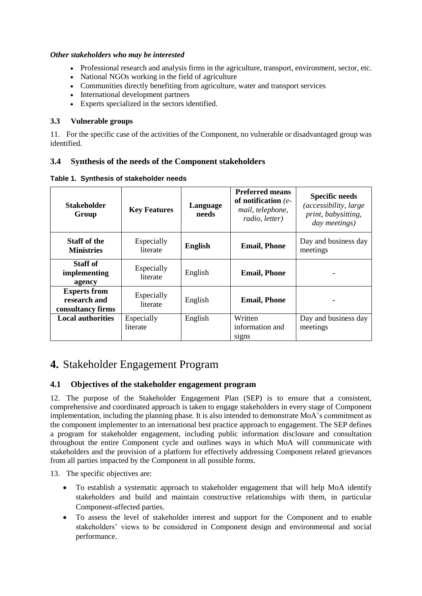#### *Other stakeholders who may be interested*

- Professional research and analysis firms in the agriculture, transport, environment, sector, etc.
- National NGOs working in the field of agriculture
- Communities directly benefiting from agriculture, water and transport services
- International development partners
- Experts specialized in the sectors identified.

#### **3.3 Vulnerable groups**

11. For the specific case of the activities of the Component, no vulnerable or disadvantaged group was identified.

### **3.4 Synthesis of the needs of the Component stakeholders**

|  |  | Table 1. Synthesis of stakeholder needs |  |
|--|--|-----------------------------------------|--|
|--|--|-----------------------------------------|--|

| <b>Stakeholder</b><br>Group                              | <b>Key Features</b>    | Language<br>needs | <b>Preferred means</b><br>of notification $(e-$<br>mail, telephone,<br>radio, letter) | <b>Specific needs</b><br><i>(accessibility, large)</i><br>print, babysitting,<br>day meetings) |
|----------------------------------------------------------|------------------------|-------------------|---------------------------------------------------------------------------------------|------------------------------------------------------------------------------------------------|
| <b>Staff of the</b><br><b>Ministries</b>                 | Especially<br>literate | <b>English</b>    | <b>Email, Phone</b>                                                                   | Day and business day<br>meetings                                                               |
| Staff of<br>implementing<br>agency                       | Especially<br>literate | English           | <b>Email, Phone</b>                                                                   |                                                                                                |
| <b>Experts from</b><br>research and<br>consultancy firms | Especially<br>literate | English           | <b>Email, Phone</b>                                                                   |                                                                                                |
| <b>Local authorities</b>                                 | Especially<br>literate | English           | Written<br>information and<br>signs                                                   | Day and business day<br>meetings                                                               |

# **4.** Stakeholder Engagement Program

### **4.1 Objectives of the stakeholder engagement program**

12. The purpose of the Stakeholder Engagement Plan (SEP) is to ensure that a consistent, comprehensive and coordinated approach is taken to engage stakeholders in every stage of Component implementation, including the planning phase. It is also intended to demonstrate MoA's commitment as the component implementer to an international best practice approach to engagement. The SEP defines a program for stakeholder engagement, including public information disclosure and consultation throughout the entire Component cycle and outlines ways in which MoA will communicate with stakeholders and the provision of a platform for effectively addressing Component related grievances from all parties impacted by the Component in all possible forms.

13. The specific objectives are:

- To establish a systematic approach to stakeholder engagement that will help MoA identify stakeholders and build and maintain constructive relationships with them, in particular Component-affected parties.
- To assess the level of stakeholder interest and support for the Component and to enable stakeholders' views to be considered in Component design and environmental and social performance.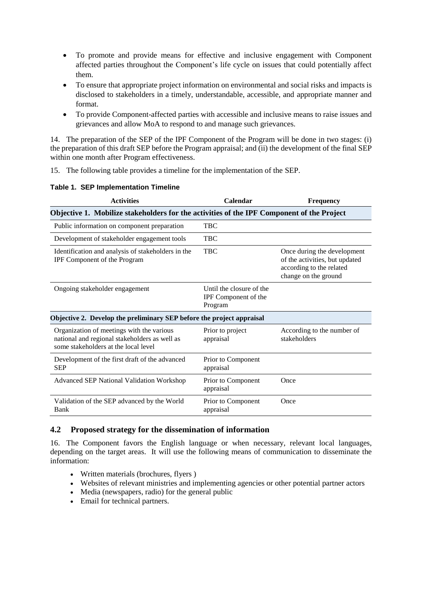- To promote and provide means for effective and inclusive engagement with Component affected parties throughout the Component's life cycle on issues that could potentially affect them.
- To ensure that appropriate project information on environmental and social risks and impacts is disclosed to stakeholders in a timely, understandable, accessible, and appropriate manner and format.
- To provide Component-affected parties with accessible and inclusive means to raise issues and grievances and allow MoA to respond to and manage such grievances.

14. The preparation of the SEP of the IPF Component of the Program will be done in two stages: (i) the preparation of this draft SEP before the Program appraisal; and (ii) the development of the final SEP within one month after Program effectiveness.

15. The following table provides a timeline for the implementation of the SEP.

|  |  | Table 1. SEP Implementation Timeline |  |
|--|--|--------------------------------------|--|
|--|--|--------------------------------------|--|

| <b>Activities</b>                                                                                                                  | Calendar                                                    | <b>Frequency</b>                                                                                                  |  |
|------------------------------------------------------------------------------------------------------------------------------------|-------------------------------------------------------------|-------------------------------------------------------------------------------------------------------------------|--|
| Objective 1. Mobilize stakeholders for the activities of the IPF Component of the Project                                          |                                                             |                                                                                                                   |  |
| Public information on component preparation                                                                                        | <b>TBC</b>                                                  |                                                                                                                   |  |
| Development of stakeholder engagement tools                                                                                        | <b>TBC</b>                                                  |                                                                                                                   |  |
| Identification and analysis of stakeholders in the<br>IPF Component of the Program                                                 | <b>TBC</b>                                                  | Once during the development<br>of the activities, but updated<br>according to the related<br>change on the ground |  |
| Ongoing stakeholder engagement                                                                                                     | Until the closure of the<br>IPF Component of the<br>Program |                                                                                                                   |  |
| Objective 2. Develop the preliminary SEP before the project appraisal                                                              |                                                             |                                                                                                                   |  |
| Organization of meetings with the various<br>national and regional stakeholders as well as<br>some stakeholders at the local level | Prior to project<br>appraisal                               | According to the number of<br>stakeholders                                                                        |  |
| Development of the first draft of the advanced<br><b>SEP</b>                                                                       | Prior to Component<br>appraisal                             |                                                                                                                   |  |
| <b>Advanced SEP National Validation Workshop</b>                                                                                   | Prior to Component<br>appraisal                             | Once                                                                                                              |  |
| Validation of the SEP advanced by the World<br>Bank                                                                                | Prior to Component<br>appraisal                             | Once                                                                                                              |  |

### **4.2 Proposed strategy for the dissemination of information**

16. The Component favors the English language or when necessary, relevant local languages, depending on the target areas. It will use the following means of communication to disseminate the information:

- Written materials (brochures, flyers )
- Websites of relevant ministries and implementing agencies or other potential partner actors
- Media (newspapers, radio) for the general public
- Email for technical partners.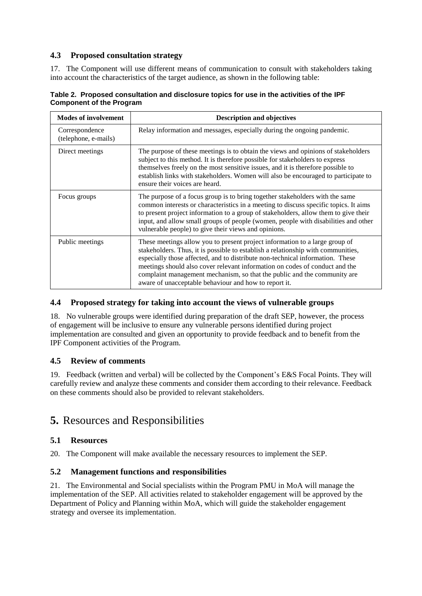# **4.3 Proposed consultation strategy**

17. The Component will use different means of communication to consult with stakeholders taking into account the characteristics of the target audience, as shown in the following table:

#### **Table 2. Proposed consultation and disclosure topics for use in the activities of the IPF Component of the Program**

| <b>Modes of involvement</b>            | <b>Description and objectives</b>                                                                                                                                                                                                                                                                                                                                                                                                                                    |  |
|----------------------------------------|----------------------------------------------------------------------------------------------------------------------------------------------------------------------------------------------------------------------------------------------------------------------------------------------------------------------------------------------------------------------------------------------------------------------------------------------------------------------|--|
| Correspondence<br>(telephone, e-mails) | Relay information and messages, especially during the ongoing pandemic.                                                                                                                                                                                                                                                                                                                                                                                              |  |
| Direct meetings                        | The purpose of these meetings is to obtain the views and opinions of stakeholders<br>subject to this method. It is therefore possible for stakeholders to express<br>themselves freely on the most sensitive issues, and it is therefore possible to<br>establish links with stakeholders. Women will also be encouraged to participate to<br>ensure their voices are heard.                                                                                         |  |
| Focus groups                           | The purpose of a focus group is to bring together stakeholders with the same<br>common interests or characteristics in a meeting to discuss specific topics. It aims<br>to present project information to a group of stakeholders, allow them to give their<br>input, and allow small groups of people (women, people with disabilities and other<br>vulnerable people) to give their views and opinions.                                                            |  |
| Public meetings                        | These meetings allow you to present project information to a large group of<br>stakeholders. Thus, it is possible to establish a relationship with communities,<br>especially those affected, and to distribute non-technical information. These<br>meetings should also cover relevant information on codes of conduct and the<br>complaint management mechanism, so that the public and the community are<br>aware of unacceptable behaviour and how to report it. |  |

# **4.4 Proposed strategy for taking into account the views of vulnerable groups**

18. No vulnerable groups were identified during preparation of the draft SEP, however, the process of engagement will be inclusive to ensure any vulnerable persons identified during project implementation are consulted and given an opportunity to provide feedback and to benefit from the IPF Component activities of the Program.

# **4.5 Review of comments**

19. Feedback (written and verbal) will be collected by the Component's E&S Focal Points. They will carefully review and analyze these comments and consider them according to their relevance. Feedback on these comments should also be provided to relevant stakeholders.

# **5.** Resources and Responsibilities

# **5.1 Resources**

20. The Component will make available the necessary resources to implement the SEP.

# **5.2 Management functions and responsibilities**

21. The Environmental and Social specialists within the Program PMU in MoA will manage the implementation of the SEP. All activities related to stakeholder engagement will be approved by the Department of Policy and Planning within MoA, which will guide the stakeholder engagement strategy and oversee its implementation.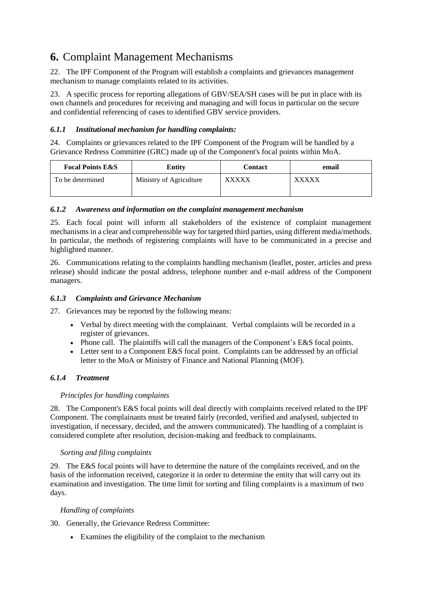# **6.** Complaint Management Mechanisms

22. The IPF Component of the Program will establish a complaints and grievances management mechanism to manage complaints related to its activities.

23. A specific process for reporting allegations of GBV/SEA/SH cases will be put in place with its own channels and procedures for receiving and managing and will focus in particular on the secure and confidential referencing of cases to identified GBV service providers.

### *6.1.1 Institutional mechanism for handling complaints:*

24. Complaints or grievances related to the IPF Component of the Program will be handled by a Grievance Redress Committee (GRC) made up of the Component's focal points within MoA.

| <b>Focal Points E&amp;S</b> | <b>Entity</b>           | <b>Contact</b> | email        |
|-----------------------------|-------------------------|----------------|--------------|
| To be determined            | Ministry of Agriculture | <b>XXXXX</b>   | <b>XXXXX</b> |

### *6.1.2 Awareness and information on the complaint management mechanism*

25. Each focal point will inform all stakeholders of the existence of complaint management mechanisms in a clear and comprehensible way for targeted third parties, using different media/methods. In particular, the methods of registering complaints will have to be communicated in a precise and highlighted manner.

26. Communications relating to the complaints handling mechanism (leaflet, poster, articles and press release) should indicate the postal address, telephone number and e-mail address of the Component managers.

### *6.1.3 Complaints and Grievance Mechanism*

27. Grievances may be reported by the following means:

- Verbal by direct meeting with the complainant. Verbal complaints will be recorded in a register of grievances.
- Phone call. The plaintiffs will call the managers of the Component's E&S focal points.
- Letter sent to a Component E&S focal point. Complaints can be addressed by an official letter to the MoA or Ministry of Finance and National Planning (MOF).

### *6.1.4 Treatment*

### *Principles for handling complaints*

28. The Component's E&S focal points will deal directly with complaints received related to the IPF Component. The complainants must be treated fairly (recorded, verified and analysed, subjected to investigation, if necessary, decided, and the answers communicated). The handling of a complaint is considered complete after resolution, decision-making and feedback to complainants.

### *Sorting and filing complaints*

29. The E&S focal points will have to determine the nature of the complaints received, and on the basis of the information received, categorize it in order to determine the entity that will carry out its examination and investigation. The time limit for sorting and filing complaints is a maximum of two days.

### *Handling of complaints*

30. Generally, the Grievance Redress Committee:

Examines the eligibility of the complaint to the mechanism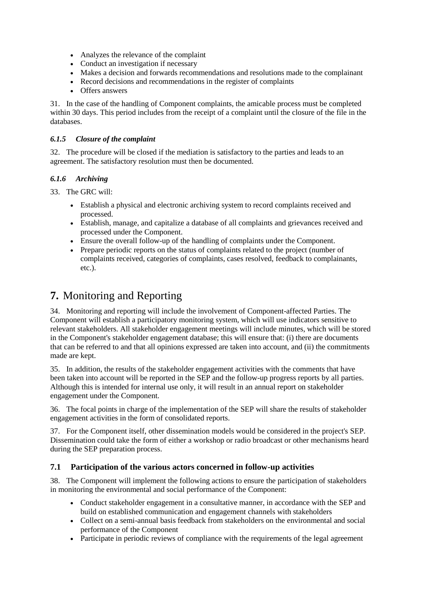- Analyzes the relevance of the complaint
- Conduct an investigation if necessary
- Makes a decision and forwards recommendations and resolutions made to the complainant
- Record decisions and recommendations in the register of complaints
- Offers answers

31. In the case of the handling of Component complaints, the amicable process must be completed within 30 days. This period includes from the receipt of a complaint until the closure of the file in the databases.

### *6.1.5 Closure of the complaint*

32. The procedure will be closed if the mediation is satisfactory to the parties and leads to an agreement. The satisfactory resolution must then be documented.

### *6.1.6 Archiving*

33. The GRC will:

- Establish a physical and electronic archiving system to record complaints received and processed.
- Establish, manage, and capitalize a database of all complaints and grievances received and processed under the Component.
- Ensure the overall follow-up of the handling of complaints under the Component.
- Prepare periodic reports on the status of complaints related to the project (number of complaints received, categories of complaints, cases resolved, feedback to complainants, etc.).

# **7.** Monitoring and Reporting

34. Monitoring and reporting will include the involvement of Component-affected Parties. The Component will establish a participatory monitoring system, which will use indicators sensitive to relevant stakeholders. All stakeholder engagement meetings will include minutes, which will be stored in the Component's stakeholder engagement database; this will ensure that: (i) there are documents that can be referred to and that all opinions expressed are taken into account, and (ii) the commitments made are kept.

35. In addition, the results of the stakeholder engagement activities with the comments that have been taken into account will be reported in the SEP and the follow-up progress reports by all parties. Although this is intended for internal use only, it will result in an annual report on stakeholder engagement under the Component.

36. The focal points in charge of the implementation of the SEP will share the results of stakeholder engagement activities in the form of consolidated reports.

37. For the Component itself, other dissemination models would be considered in the project's SEP. Dissemination could take the form of either a workshop or radio broadcast or other mechanisms heard during the SEP preparation process.

# **7.1 Participation of the various actors concerned in follow-up activities**

38. The Component will implement the following actions to ensure the participation of stakeholders in monitoring the environmental and social performance of the Component:

- Conduct stakeholder engagement in a consultative manner, in accordance with the SEP and build on established communication and engagement channels with stakeholders
- Collect on a semi-annual basis feedback from stakeholders on the environmental and social performance of the Component
- Participate in periodic reviews of compliance with the requirements of the legal agreement